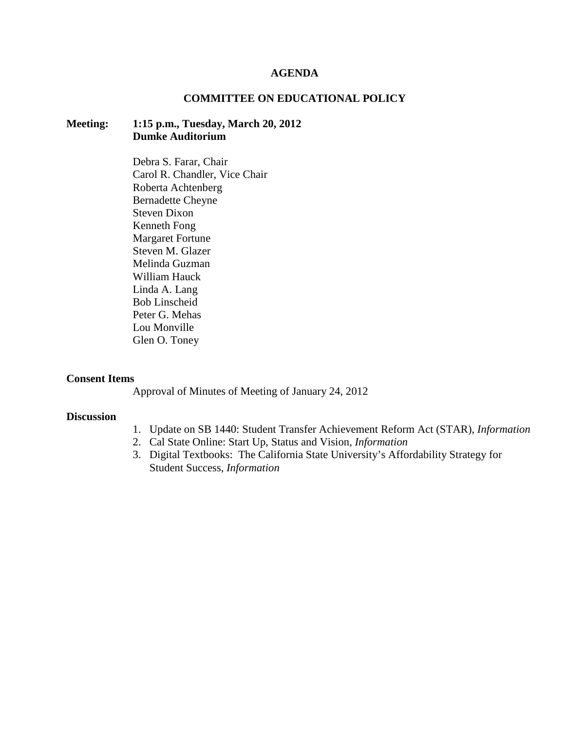#### **AGENDA**

### **COMMITTEE ON EDUCATIONAL POLICY**

## **Meeting: 1:15 p.m., Tuesday, March 20, 2012 Dumke Auditorium**

Debra S. Farar, Chair Carol R. Chandler, Vice Chair Roberta Achtenberg Bernadette Cheyne Steven Dixon Kenneth Fong Margaret Fortune Steven M. Glazer Melinda Guzman William Hauck Linda A. Lang Bob Linscheid Peter G. Mehas Lou Monville Glen O. Toney

#### **Consent Items**

Approval of Minutes of Meeting of January 24, 2012

### **Discussion**

- 1. Update on SB 1440: Student Transfer Achievement Reform Act (STAR), *Information*
- 2. Cal State Online: Start Up, Status and Vision, *Information*
- 3. Digital Textbooks: The California State University's Affordability Strategy for Student Success, *Information*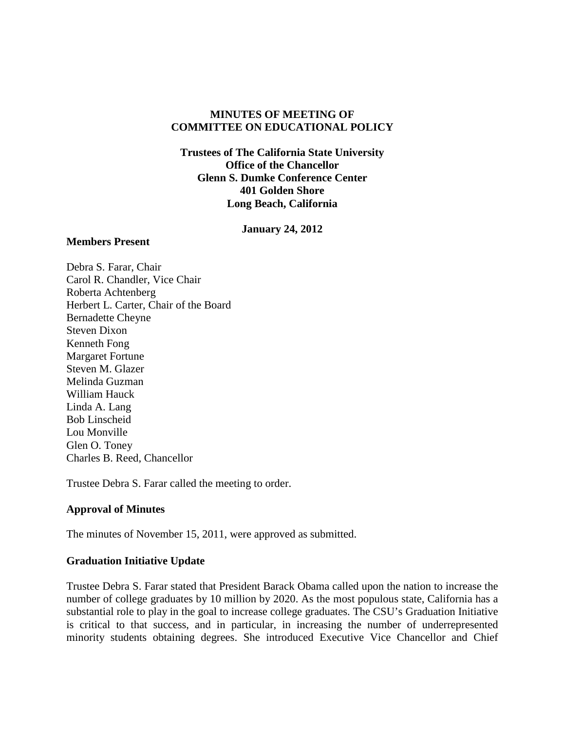## **MINUTES OF MEETING OF COMMITTEE ON EDUCATIONAL POLICY**

**Trustees of The California State University Office of the Chancellor Glenn S. Dumke Conference Center 401 Golden Shore Long Beach, California**

**January 24, 2012**

#### **Members Present**

Debra S. Farar, Chair Carol R. Chandler, Vice Chair Roberta Achtenberg Herbert L. Carter, Chair of the Board Bernadette Cheyne Steven Dixon Kenneth Fong Margaret Fortune Steven M. Glazer Melinda Guzman William Hauck Linda A. Lang Bob Linscheid Lou Monville Glen O. Toney Charles B. Reed, Chancellor

Trustee Debra S. Farar called the meeting to order.

## **Approval of Minutes**

The minutes of November 15, 2011, were approved as submitted.

## **Graduation Initiative Update**

Trustee Debra S. Farar stated that President Barack Obama called upon the nation to increase the number of college graduates by 10 million by 2020. As the most populous state, California has a substantial role to play in the goal to increase college graduates. The CSU's Graduation Initiative is critical to that success, and in particular, in increasing the number of underrepresented minority students obtaining degrees. She introduced Executive Vice Chancellor and Chief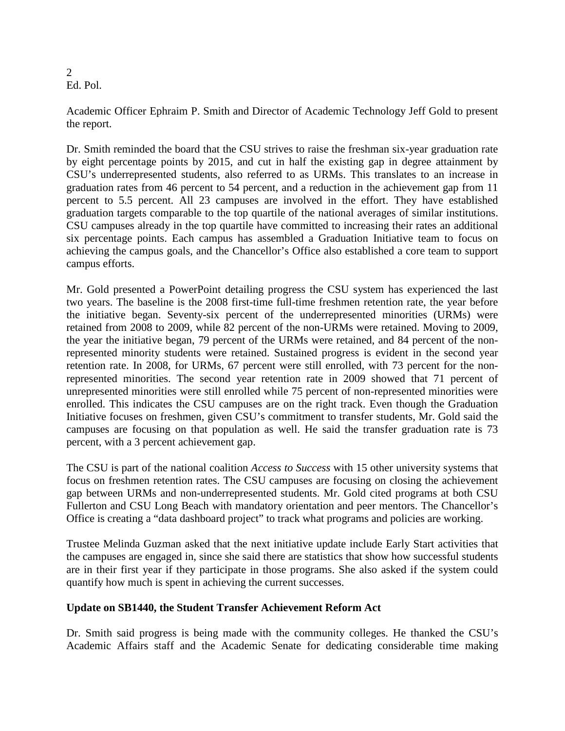2 Ed. Pol.

Academic Officer Ephraim P. Smith and Director of Academic Technology Jeff Gold to present the report.

Dr. Smith reminded the board that the CSU strives to raise the freshman six-year graduation rate by eight percentage points by 2015, and cut in half the existing gap in degree attainment by CSU's underrepresented students, also referred to as URMs. This translates to an increase in graduation rates from 46 percent to 54 percent, and a reduction in the achievement gap from 11 percent to 5.5 percent. All 23 campuses are involved in the effort. They have established graduation targets comparable to the top quartile of the national averages of similar institutions. CSU campuses already in the top quartile have committed to increasing their rates an additional six percentage points. Each campus has assembled a Graduation Initiative team to focus on achieving the campus goals, and the Chancellor's Office also established a core team to support campus efforts.

Mr. Gold presented a PowerPoint detailing progress the CSU system has experienced the last two years. The baseline is the 2008 first-time full-time freshmen retention rate, the year before the initiative began. Seventy-six percent of the underrepresented minorities (URMs) were retained from 2008 to 2009, while 82 percent of the non-URMs were retained. Moving to 2009, the year the initiative began, 79 percent of the URMs were retained, and 84 percent of the nonrepresented minority students were retained. Sustained progress is evident in the second year retention rate. In 2008, for URMs, 67 percent were still enrolled, with 73 percent for the nonrepresented minorities. The second year retention rate in 2009 showed that 71 percent of unrepresented minorities were still enrolled while 75 percent of non-represented minorities were enrolled. This indicates the CSU campuses are on the right track. Even though the Graduation Initiative focuses on freshmen, given CSU's commitment to transfer students, Mr. Gold said the campuses are focusing on that population as well. He said the transfer graduation rate is 73 percent, with a 3 percent achievement gap.

The CSU is part of the national coalition *Access to Success* with 15 other university systems that focus on freshmen retention rates. The CSU campuses are focusing on closing the achievement gap between URMs and non-underrepresented students. Mr. Gold cited programs at both CSU Fullerton and CSU Long Beach with mandatory orientation and peer mentors. The Chancellor's Office is creating a "data dashboard project" to track what programs and policies are working.

Trustee Melinda Guzman asked that the next initiative update include Early Start activities that the campuses are engaged in, since she said there are statistics that show how successful students are in their first year if they participate in those programs. She also asked if the system could quantify how much is spent in achieving the current successes.

## **Update on SB1440, the Student Transfer Achievement Reform Act**

Dr. Smith said progress is being made with the community colleges. He thanked the CSU's Academic Affairs staff and the Academic Senate for dedicating considerable time making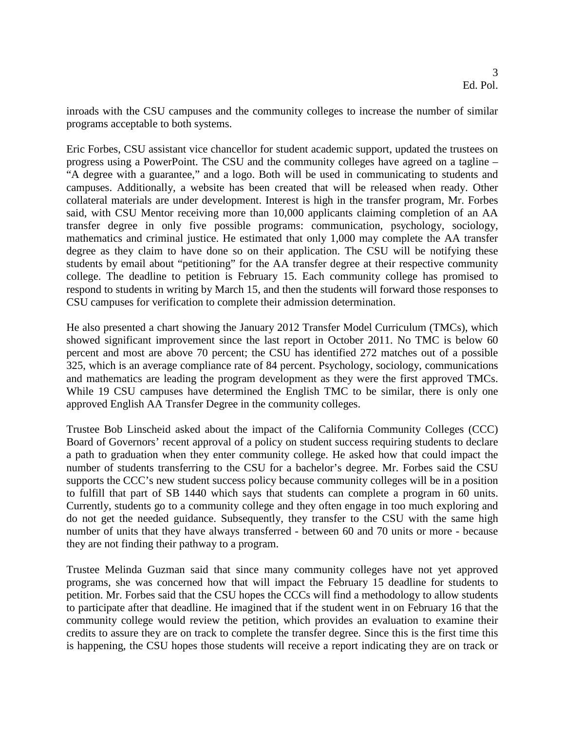inroads with the CSU campuses and the community colleges to increase the number of similar programs acceptable to both systems.

Eric Forbes, CSU assistant vice chancellor for student academic support, updated the trustees on progress using a PowerPoint. The CSU and the community colleges have agreed on a tagline – "A degree with a guarantee," and a logo. Both will be used in communicating to students and campuses. Additionally, a website has been created that will be released when ready. Other collateral materials are under development. Interest is high in the transfer program, Mr. Forbes said, with CSU Mentor receiving more than 10,000 applicants claiming completion of an AA transfer degree in only five possible programs: communication, psychology, sociology, mathematics and criminal justice. He estimated that only 1,000 may complete the AA transfer degree as they claim to have done so on their application. The CSU will be notifying these students by email about "petitioning" for the AA transfer degree at their respective community college. The deadline to petition is February 15. Each community college has promised to respond to students in writing by March 15, and then the students will forward those responses to CSU campuses for verification to complete their admission determination.

He also presented a chart showing the January 2012 Transfer Model Curriculum (TMCs), which showed significant improvement since the last report in October 2011. No TMC is below 60 percent and most are above 70 percent; the CSU has identified 272 matches out of a possible 325, which is an average compliance rate of 84 percent. Psychology, sociology, communications and mathematics are leading the program development as they were the first approved TMCs. While 19 CSU campuses have determined the English TMC to be similar, there is only one approved English AA Transfer Degree in the community colleges.

Trustee Bob Linscheid asked about the impact of the California Community Colleges (CCC) Board of Governors' recent approval of a policy on student success requiring students to declare a path to graduation when they enter community college. He asked how that could impact the number of students transferring to the CSU for a bachelor's degree. Mr. Forbes said the CSU supports the CCC's new student success policy because community colleges will be in a position to fulfill that part of SB 1440 which says that students can complete a program in 60 units. Currently, students go to a community college and they often engage in too much exploring and do not get the needed guidance. Subsequently, they transfer to the CSU with the same high number of units that they have always transferred - between 60 and 70 units or more - because they are not finding their pathway to a program.

Trustee Melinda Guzman said that since many community colleges have not yet approved programs, she was concerned how that will impact the February 15 deadline for students to petition. Mr. Forbes said that the CSU hopes the CCCs will find a methodology to allow students to participate after that deadline. He imagined that if the student went in on February 16 that the community college would review the petition, which provides an evaluation to examine their credits to assure they are on track to complete the transfer degree. Since this is the first time this is happening, the CSU hopes those students will receive a report indicating they are on track or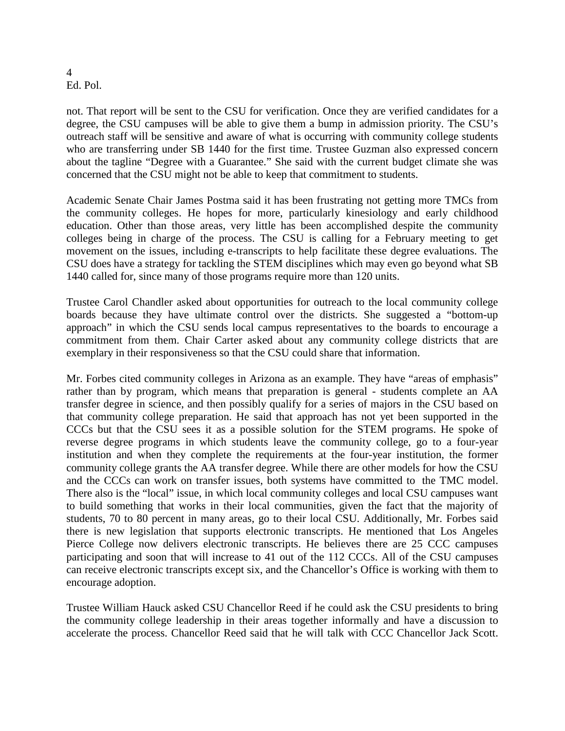#### 4 Ed. Pol.

not. That report will be sent to the CSU for verification. Once they are verified candidates for a degree, the CSU campuses will be able to give them a bump in admission priority. The CSU's outreach staff will be sensitive and aware of what is occurring with community college students who are transferring under SB 1440 for the first time. Trustee Guzman also expressed concern about the tagline "Degree with a Guarantee." She said with the current budget climate she was concerned that the CSU might not be able to keep that commitment to students.

Academic Senate Chair James Postma said it has been frustrating not getting more TMCs from the community colleges. He hopes for more, particularly kinesiology and early childhood education. Other than those areas, very little has been accomplished despite the community colleges being in charge of the process. The CSU is calling for a February meeting to get movement on the issues, including e-transcripts to help facilitate these degree evaluations. The CSU does have a strategy for tackling the STEM disciplines which may even go beyond what SB 1440 called for, since many of those programs require more than 120 units.

Trustee Carol Chandler asked about opportunities for outreach to the local community college boards because they have ultimate control over the districts. She suggested a "bottom-up approach" in which the CSU sends local campus representatives to the boards to encourage a commitment from them. Chair Carter asked about any community college districts that are exemplary in their responsiveness so that the CSU could share that information.

Mr. Forbes cited community colleges in Arizona as an example. They have "areas of emphasis" rather than by program, which means that preparation is general - students complete an AA transfer degree in science, and then possibly qualify for a series of majors in the CSU based on that community college preparation. He said that approach has not yet been supported in the CCCs but that the CSU sees it as a possible solution for the STEM programs. He spoke of reverse degree programs in which students leave the community college, go to a four-year institution and when they complete the requirements at the four-year institution, the former community college grants the AA transfer degree. While there are other models for how the CSU and the CCCs can work on transfer issues, both systems have committed to the TMC model. There also is the "local" issue, in which local community colleges and local CSU campuses want to build something that works in their local communities, given the fact that the majority of students, 70 to 80 percent in many areas, go to their local CSU. Additionally, Mr. Forbes said there is new legislation that supports electronic transcripts. He mentioned that Los Angeles Pierce College now delivers electronic transcripts. He believes there are 25 CCC campuses participating and soon that will increase to 41 out of the 112 CCCs. All of the CSU campuses can receive electronic transcripts except six, and the Chancellor's Office is working with them to encourage adoption.

Trustee William Hauck asked CSU Chancellor Reed if he could ask the CSU presidents to bring the community college leadership in their areas together informally and have a discussion to accelerate the process. Chancellor Reed said that he will talk with CCC Chancellor Jack Scott.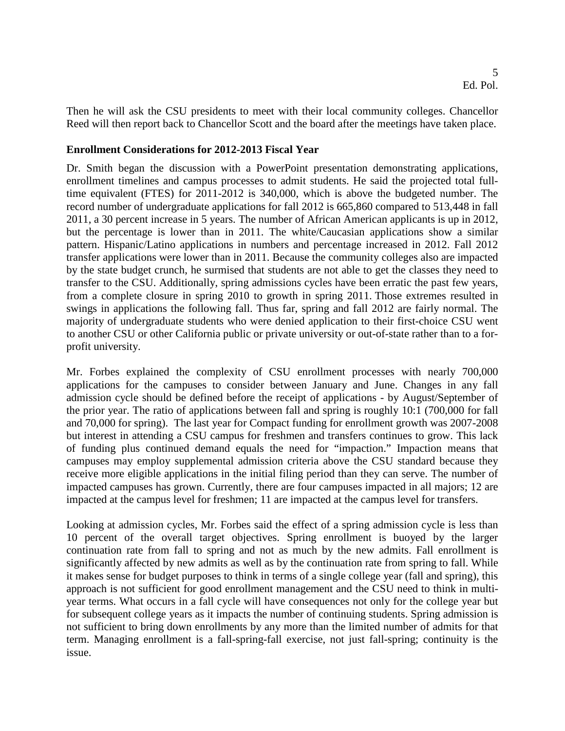Then he will ask the CSU presidents to meet with their local community colleges. Chancellor Reed will then report back to Chancellor Scott and the board after the meetings have taken place.

### **Enrollment Considerations for 2012-2013 Fiscal Year**

Dr. Smith began the discussion with a PowerPoint presentation demonstrating applications, enrollment timelines and campus processes to admit students. He said the projected total fulltime equivalent (FTES) for 2011-2012 is 340,000, which is above the budgeted number. The record number of undergraduate applications for fall 2012 is 665,860 compared to 513,448 in fall 2011, a 30 percent increase in 5 years. The number of African American applicants is up in 2012, but the percentage is lower than in 2011. The white/Caucasian applications show a similar pattern. Hispanic/Latino applications in numbers and percentage increased in 2012. Fall 2012 transfer applications were lower than in 2011. Because the community colleges also are impacted by the state budget crunch, he surmised that students are not able to get the classes they need to transfer to the CSU. Additionally, spring admissions cycles have been erratic the past few years, from a complete closure in spring 2010 to growth in spring 2011. Those extremes resulted in swings in applications the following fall. Thus far, spring and fall 2012 are fairly normal. The majority of undergraduate students who were denied application to their first-choice CSU went to another CSU or other California public or private university or out-of-state rather than to a forprofit university.

Mr. Forbes explained the complexity of CSU enrollment processes with nearly 700,000 applications for the campuses to consider between January and June. Changes in any fall admission cycle should be defined before the receipt of applications - by August/September of the prior year. The ratio of applications between fall and spring is roughly 10:1 (700,000 for fall and 70,000 for spring). The last year for Compact funding for enrollment growth was 2007-2008 but interest in attending a CSU campus for freshmen and transfers continues to grow. This lack of funding plus continued demand equals the need for "impaction." Impaction means that campuses may employ supplemental admission criteria above the CSU standard because they receive more eligible applications in the initial filing period than they can serve. The number of impacted campuses has grown. Currently, there are four campuses impacted in all majors; 12 are impacted at the campus level for freshmen; 11 are impacted at the campus level for transfers.

Looking at admission cycles, Mr. Forbes said the effect of a spring admission cycle is less than 10 percent of the overall target objectives. Spring enrollment is buoyed by the larger continuation rate from fall to spring and not as much by the new admits. Fall enrollment is significantly affected by new admits as well as by the continuation rate from spring to fall. While it makes sense for budget purposes to think in terms of a single college year (fall and spring), this approach is not sufficient for good enrollment management and the CSU need to think in multiyear terms. What occurs in a fall cycle will have consequences not only for the college year but for subsequent college years as it impacts the number of continuing students. Spring admission is not sufficient to bring down enrollments by any more than the limited number of admits for that term. Managing enrollment is a fall-spring-fall exercise, not just fall-spring; continuity is the issue.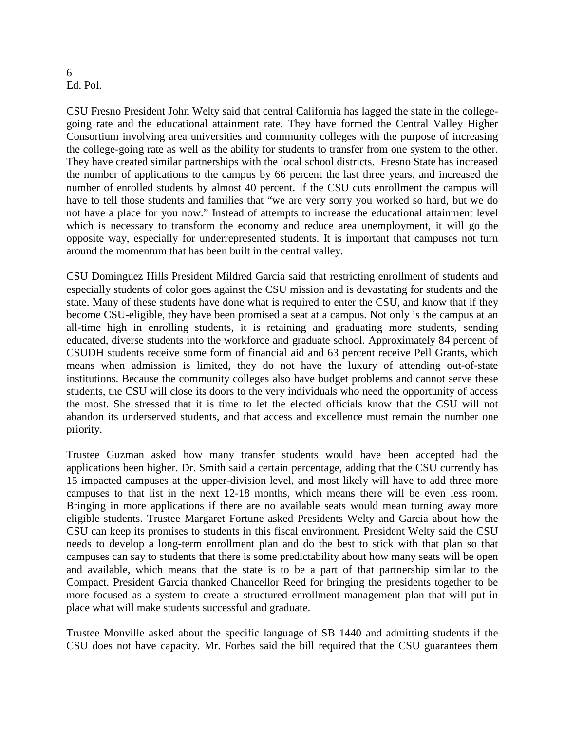#### 6 Ed. Pol.

CSU Fresno President John Welty said that central California has lagged the state in the collegegoing rate and the educational attainment rate. They have formed the Central Valley Higher Consortium involving area universities and community colleges with the purpose of increasing the college-going rate as well as the ability for students to transfer from one system to the other. They have created similar partnerships with the local school districts. Fresno State has increased the number of applications to the campus by 66 percent the last three years, and increased the number of enrolled students by almost 40 percent. If the CSU cuts enrollment the campus will have to tell those students and families that "we are very sorry you worked so hard, but we do not have a place for you now." Instead of attempts to increase the educational attainment level which is necessary to transform the economy and reduce area unemployment, it will go the opposite way, especially for underrepresented students. It is important that campuses not turn around the momentum that has been built in the central valley.

CSU Dominguez Hills President Mildred Garcia said that restricting enrollment of students and especially students of color goes against the CSU mission and is devastating for students and the state. Many of these students have done what is required to enter the CSU, and know that if they become CSU-eligible, they have been promised a seat at a campus. Not only is the campus at an all-time high in enrolling students, it is retaining and graduating more students, sending educated, diverse students into the workforce and graduate school. Approximately 84 percent of CSUDH students receive some form of financial aid and 63 percent receive Pell Grants, which means when admission is limited, they do not have the luxury of attending out-of-state institutions. Because the community colleges also have budget problems and cannot serve these students, the CSU will close its doors to the very individuals who need the opportunity of access the most. She stressed that it is time to let the elected officials know that the CSU will not abandon its underserved students, and that access and excellence must remain the number one priority.

Trustee Guzman asked how many transfer students would have been accepted had the applications been higher. Dr. Smith said a certain percentage, adding that the CSU currently has 15 impacted campuses at the upper-division level, and most likely will have to add three more campuses to that list in the next 12-18 months, which means there will be even less room. Bringing in more applications if there are no available seats would mean turning away more eligible students. Trustee Margaret Fortune asked Presidents Welty and Garcia about how the CSU can keep its promises to students in this fiscal environment. President Welty said the CSU needs to develop a long-term enrollment plan and do the best to stick with that plan so that campuses can say to students that there is some predictability about how many seats will be open and available, which means that the state is to be a part of that partnership similar to the Compact. President Garcia thanked Chancellor Reed for bringing the presidents together to be more focused as a system to create a structured enrollment management plan that will put in place what will make students successful and graduate.

Trustee Monville asked about the specific language of SB 1440 and admitting students if the CSU does not have capacity. Mr. Forbes said the bill required that the CSU guarantees them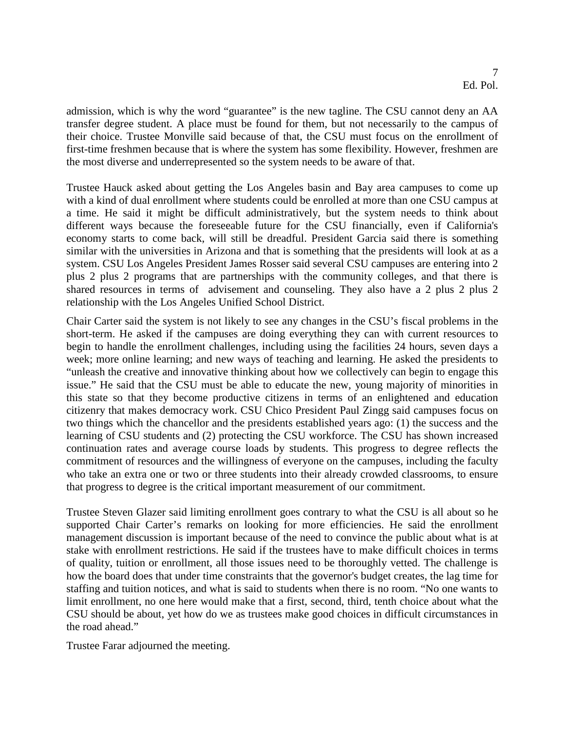admission, which is why the word "guarantee" is the new tagline. The CSU cannot deny an AA transfer degree student. A place must be found for them, but not necessarily to the campus of their choice. Trustee Monville said because of that, the CSU must focus on the enrollment of first-time freshmen because that is where the system has some flexibility. However, freshmen are the most diverse and underrepresented so the system needs to be aware of that.

Trustee Hauck asked about getting the Los Angeles basin and Bay area campuses to come up with a kind of dual enrollment where students could be enrolled at more than one CSU campus at a time. He said it might be difficult administratively, but the system needs to think about different ways because the foreseeable future for the CSU financially, even if California's economy starts to come back, will still be dreadful. President Garcia said there is something similar with the universities in Arizona and that is something that the presidents will look at as a system. CSU Los Angeles President James Rosser said several CSU campuses are entering into 2 plus 2 plus 2 programs that are partnerships with the community colleges, and that there is shared resources in terms of advisement and counseling. They also have a 2 plus 2 plus 2 relationship with the Los Angeles Unified School District.

Chair Carter said the system is not likely to see any changes in the CSU's fiscal problems in the short-term. He asked if the campuses are doing everything they can with current resources to begin to handle the enrollment challenges, including using the facilities 24 hours, seven days a week; more online learning; and new ways of teaching and learning. He asked the presidents to "unleash the creative and innovative thinking about how we collectively can begin to engage this issue." He said that the CSU must be able to educate the new, young majority of minorities in this state so that they become productive citizens in terms of an enlightened and education citizenry that makes democracy work. CSU Chico President Paul Zingg said campuses focus on two things which the chancellor and the presidents established years ago: (1) the success and the learning of CSU students and (2) protecting the CSU workforce. The CSU has shown increased continuation rates and average course loads by students. This progress to degree reflects the commitment of resources and the willingness of everyone on the campuses, including the faculty who take an extra one or two or three students into their already crowded classrooms, to ensure that progress to degree is the critical important measurement of our commitment.

Trustee Steven Glazer said limiting enrollment goes contrary to what the CSU is all about so he supported Chair Carter's remarks on looking for more efficiencies. He said the enrollment management discussion is important because of the need to convince the public about what is at stake with enrollment restrictions. He said if the trustees have to make difficult choices in terms of quality, tuition or enrollment, all those issues need to be thoroughly vetted. The challenge is how the board does that under time constraints that the governor's budget creates, the lag time for staffing and tuition notices, and what is said to students when there is no room. "No one wants to limit enrollment, no one here would make that a first, second, third, tenth choice about what the CSU should be about, yet how do we as trustees make good choices in difficult circumstances in the road ahead."

Trustee Farar adjourned the meeting.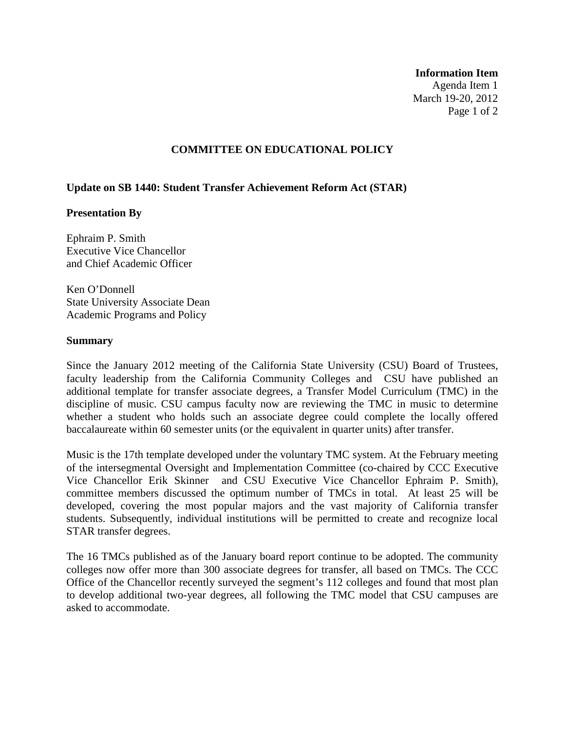#### **Information Item**

Agenda Item 1 March 19-20, 2012 Page 1 of 2

#### **COMMITTEE ON EDUCATIONAL POLICY**

### **Update on SB 1440: Student Transfer Achievement Reform Act (STAR)**

#### **Presentation By**

Ephraim P. Smith Executive Vice Chancellor and Chief Academic Officer

Ken O'Donnell State University Associate Dean Academic Programs and Policy

#### **Summary**

Since the January 2012 meeting of the California State University (CSU) Board of Trustees, faculty leadership from the California Community Colleges and CSU have published an additional template for transfer associate degrees, a Transfer Model Curriculum (TMC) in the discipline of music. CSU campus faculty now are reviewing the TMC in music to determine whether a student who holds such an associate degree could complete the locally offered baccalaureate within 60 semester units (or the equivalent in quarter units) after transfer.

Music is the 17th template developed under the voluntary TMC system. At the February meeting of the intersegmental Oversight and Implementation Committee (co-chaired by CCC Executive Vice Chancellor Erik Skinner and CSU Executive Vice Chancellor Ephraim P. Smith), committee members discussed the optimum number of TMCs in total. At least 25 will be developed, covering the most popular majors and the vast majority of California transfer students. Subsequently, individual institutions will be permitted to create and recognize local STAR transfer degrees.

The 16 TMCs published as of the January board report continue to be adopted. The community colleges now offer more than 300 associate degrees for transfer, all based on TMCs. The CCC Office of the Chancellor recently surveyed the segment's 112 colleges and found that most plan to develop additional two-year degrees, all following the TMC model that CSU campuses are asked to accommodate.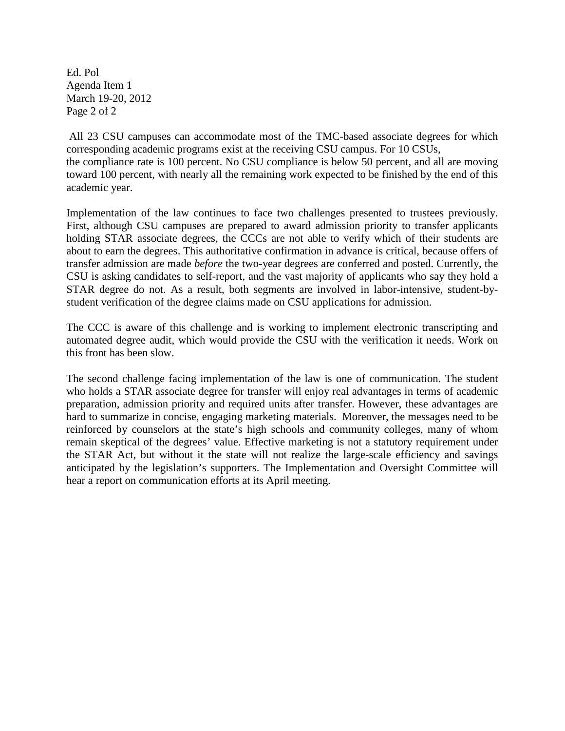Ed. Pol Agenda Item 1 March 19-20, 2012 Page 2 of 2

All 23 CSU campuses can accommodate most of the TMC-based associate degrees for which corresponding academic programs exist at the receiving CSU campus. For 10 CSUs, the compliance rate is 100 percent. No CSU compliance is below 50 percent, and all are moving toward 100 percent, with nearly all the remaining work expected to be finished by the end of this academic year.

Implementation of the law continues to face two challenges presented to trustees previously. First, although CSU campuses are prepared to award admission priority to transfer applicants holding STAR associate degrees, the CCCs are not able to verify which of their students are about to earn the degrees. This authoritative confirmation in advance is critical, because offers of transfer admission are made *before* the two-year degrees are conferred and posted. Currently, the CSU is asking candidates to self-report, and the vast majority of applicants who say they hold a STAR degree do not. As a result, both segments are involved in labor-intensive, student-bystudent verification of the degree claims made on CSU applications for admission.

The CCC is aware of this challenge and is working to implement electronic transcripting and automated degree audit, which would provide the CSU with the verification it needs. Work on this front has been slow.

The second challenge facing implementation of the law is one of communication. The student who holds a STAR associate degree for transfer will enjoy real advantages in terms of academic preparation, admission priority and required units after transfer. However, these advantages are hard to summarize in concise, engaging marketing materials. Moreover, the messages need to be reinforced by counselors at the state's high schools and community colleges, many of whom remain skeptical of the degrees' value. Effective marketing is not a statutory requirement under the STAR Act, but without it the state will not realize the large-scale efficiency and savings anticipated by the legislation's supporters. The Implementation and Oversight Committee will hear a report on communication efforts at its April meeting.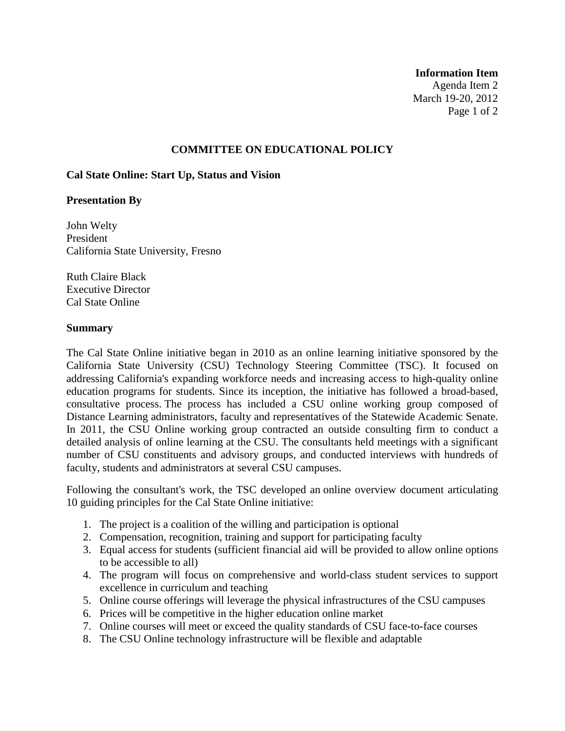#### **Information Item**

Agenda Item 2 March 19-20, 2012 Page 1 of 2

### **COMMITTEE ON EDUCATIONAL POLICY**

#### **Cal State Online: Start Up, Status and Vision**

#### **Presentation By**

John Welty President California State University, Fresno

Ruth Claire Black Executive Director Cal State Online

#### **Summary**

The Cal State Online initiative began in 2010 as an online learning initiative sponsored by the California State University (CSU) Technology Steering Committee (TSC). It focused on addressing California's expanding workforce needs and increasing access to high-quality online education programs for students. Since its inception, the initiative has followed a broad-based, consultative process. The process has included a CSU online working group composed of Distance Learning administrators, faculty and representatives of the Statewide Academic Senate. In 2011, the CSU Online working group contracted an outside consulting firm to conduct a detailed analysis of online learning at the CSU. The consultants held meetings with a significant number of CSU constituents and advisory groups, and conducted interviews with hundreds of faculty, students and administrators at several CSU campuses.

Following the consultant's work, the TSC developed an online overview document articulating 10 guiding principles for the Cal State Online initiative:

- 1. The project is a coalition of the willing and participation is optional
- 2. Compensation, recognition, training and support for participating faculty
- 3. Equal access for students (sufficient financial aid will be provided to allow online options to be accessible to all)
- 4. The program will focus on comprehensive and world-class student services to support excellence in curriculum and teaching
- 5. Online course offerings will leverage the physical infrastructures of the CSU campuses
- 6. Prices will be competitive in the higher education online market
- 7. Online courses will meet or exceed the quality standards of CSU face-to-face courses
- 8. The CSU Online technology infrastructure will be flexible and adaptable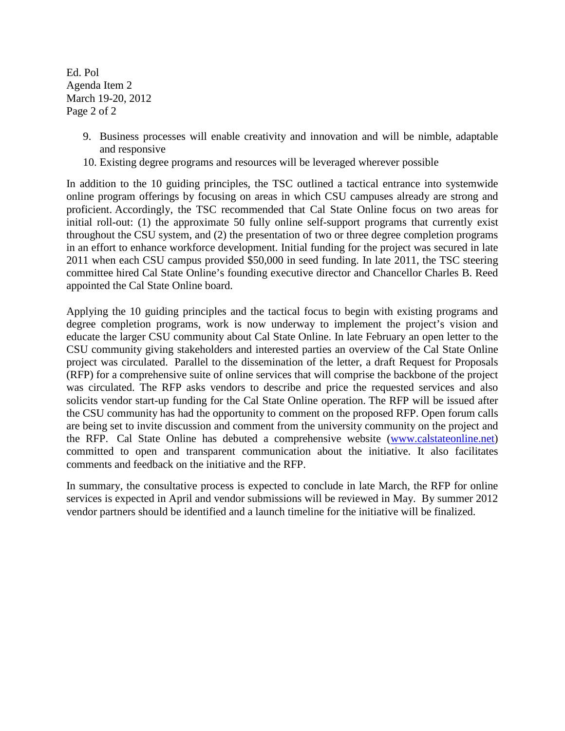Ed. Pol Agenda Item 2 March 19-20, 2012 Page 2 of 2

- 9. Business processes will enable creativity and innovation and will be nimble, adaptable and responsive
- 10. Existing degree programs and resources will be leveraged wherever possible

In addition to the 10 guiding principles, the TSC outlined a tactical entrance into systemwide online program offerings by focusing on areas in which CSU campuses already are strong and proficient. Accordingly, the TSC recommended that Cal State Online focus on two areas for initial roll-out: (1) the approximate 50 fully online self-support programs that currently exist throughout the CSU system, and (2) the presentation of two or three degree completion programs in an effort to enhance workforce development. Initial funding for the project was secured in late 2011 when each CSU campus provided \$50,000 in seed funding. In late 2011, the TSC steering committee hired Cal State Online's founding executive director and Chancellor Charles B. Reed appointed the Cal State Online board.

Applying the 10 guiding principles and the tactical focus to begin with existing programs and degree completion programs, work is now underway to implement the project's vision and educate the larger CSU community about Cal State Online. In late February an open letter to the CSU community giving stakeholders and interested parties an overview of the Cal State Online project was circulated. Parallel to the dissemination of the letter, a draft Request for Proposals (RFP) for a comprehensive suite of online services that will comprise the backbone of the project was circulated. The RFP asks vendors to describe and price the requested services and also solicits vendor start-up funding for the Cal State Online operation. The RFP will be issued after the CSU community has had the opportunity to comment on the proposed RFP. Open forum calls are being set to invite discussion and comment from the university community on the project and the RFP. Cal State Online has debuted a comprehensive website [\(www.calstateonline.net\)](http://www.calstateonline.net/) committed to open and transparent communication about the initiative. It also facilitates comments and feedback on the initiative and the RFP.

In summary, the consultative process is expected to conclude in late March, the RFP for online services is expected in April and vendor submissions will be reviewed in May. By summer 2012 vendor partners should be identified and a launch timeline for the initiative will be finalized.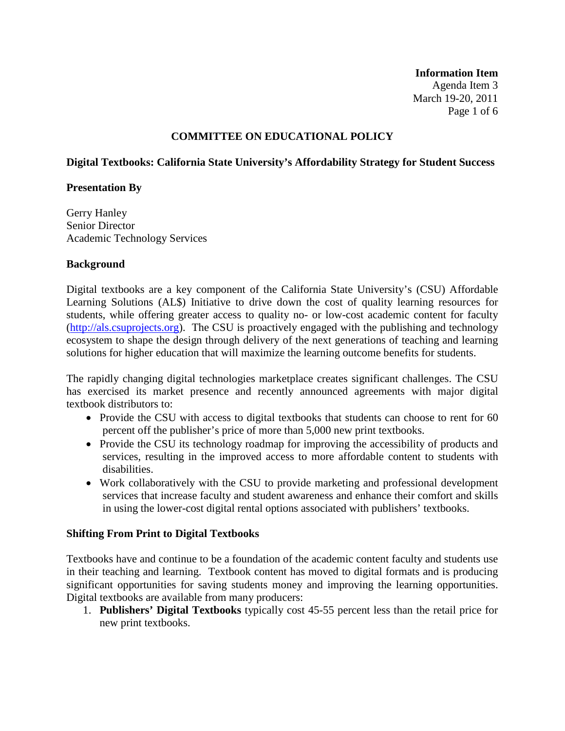**Information Item** Agenda Item 3 March 19-20, 2011 Page 1 of 6

# **COMMITTEE ON EDUCATIONAL POLICY**

## **Digital Textbooks: California State University's Affordability Strategy for Student Success**

### **Presentation By**

Gerry Hanley Senior Director Academic Technology Services

### **Background**

Digital textbooks are a key component of the California State University's (CSU) Affordable Learning Solutions (AL\$) Initiative to drive down the cost of quality learning resources for students, while offering greater access to quality no- or low-cost academic content for faculty [\(http://als.csuprojects.org\)](http://als.csuprojects.org/). The CSU is proactively engaged with the publishing and technology ecosystem to shape the design through delivery of the next generations of teaching and learning solutions for higher education that will maximize the learning outcome benefits for students.

The rapidly changing digital technologies marketplace creates significant challenges. The CSU has exercised its market presence and recently announced agreements with major digital textbook distributors to:

- Provide the CSU with access to digital textbooks that students can choose to rent for 60 percent off the publisher's price of more than 5,000 new print textbooks.
- Provide the CSU its technology roadmap for improving the accessibility of products and services, resulting in the improved access to more affordable content to students with disabilities.
- Work collaboratively with the CSU to provide marketing and professional development services that increase faculty and student awareness and enhance their comfort and skills in using the lower-cost digital rental options associated with publishers' textbooks.

## **Shifting From Print to Digital Textbooks**

Textbooks have and continue to be a foundation of the academic content faculty and students use in their teaching and learning. Textbook content has moved to digital formats and is producing significant opportunities for saving students money and improving the learning opportunities. Digital textbooks are available from many producers:

1. **Publishers' Digital Textbooks** typically cost 45-55 percent less than the retail price for new print textbooks.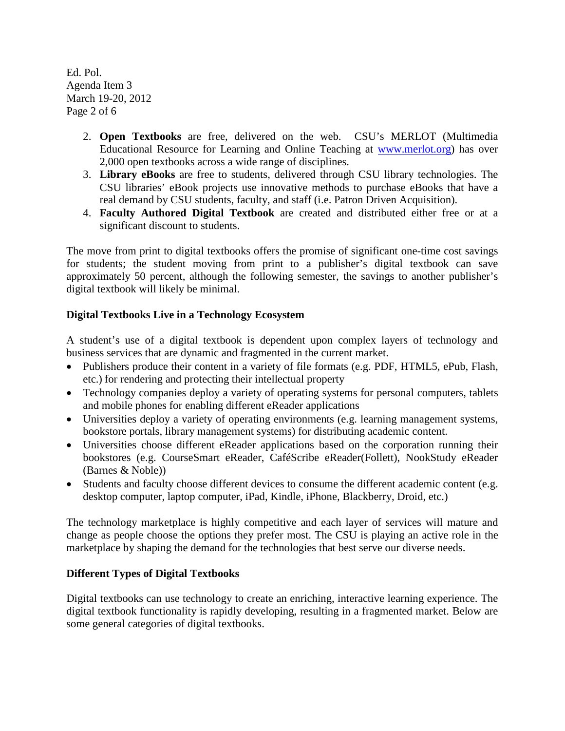Ed. Pol. Agenda Item 3 March 19-20, 2012 Page 2 of 6

- 2. **Open Textbooks** are free, delivered on the web. CSU's MERLOT (Multimedia Educational Resource for Learning and Online Teaching at [www.merlot.org\)](http://www.merlot.org/) has over 2,000 open textbooks across a wide range of disciplines.
- 3. **Library eBooks** are free to students, delivered through CSU library technologies. The CSU libraries' eBook projects use innovative methods to purchase eBooks that have a real demand by CSU students, faculty, and staff (i.e. Patron Driven Acquisition).
- 4. **Faculty Authored Digital Textbook** are created and distributed either free or at a significant discount to students.

The move from print to digital textbooks offers the promise of significant one-time cost savings for students; the student moving from print to a publisher's digital textbook can save approximately 50 percent, although the following semester, the savings to another publisher's digital textbook will likely be minimal.

# **Digital Textbooks Live in a Technology Ecosystem**

A student's use of a digital textbook is dependent upon complex layers of technology and business services that are dynamic and fragmented in the current market.

- Publishers produce their content in a variety of file formats (e.g. PDF, HTML5, ePub, Flash, etc.) for rendering and protecting their intellectual property
- Technology companies deploy a variety of operating systems for personal computers, tablets and mobile phones for enabling different eReader applications
- Universities deploy a variety of operating environments (e.g. learning management systems, bookstore portals, library management systems) for distributing academic content.
- Universities choose different eReader applications based on the corporation running their bookstores (e.g. CourseSmart eReader, CaféScribe eReader(Follett), NookStudy eReader (Barnes & Noble))
- Students and faculty choose different devices to consume the different academic content (e.g. desktop computer, laptop computer, iPad, Kindle, iPhone, Blackberry, Droid, etc.)

The technology marketplace is highly competitive and each layer of services will mature and change as people choose the options they prefer most. The CSU is playing an active role in the marketplace by shaping the demand for the technologies that best serve our diverse needs.

# **Different Types of Digital Textbooks**

Digital textbooks can use technology to create an enriching, interactive learning experience. The digital textbook functionality is rapidly developing, resulting in a fragmented market. Below are some general categories of digital textbooks.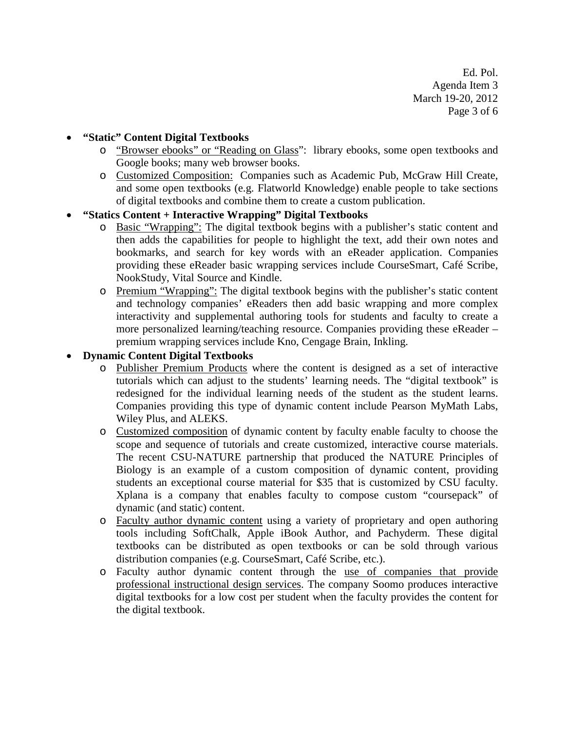Ed. Pol. Agenda Item 3 March 19-20, 2012 Page 3 of 6

## • **"Static" Content Digital Textbooks**

- o "Browser ebooks" or "Reading on Glass": library ebooks, some open textbooks and Google books; many web browser books.
- o Customized Composition: Companies such as Academic Pub, McGraw Hill Create, and some open textbooks (e.g. Flatworld Knowledge) enable people to take sections of digital textbooks and combine them to create a custom publication.

## • **"Statics Content + Interactive Wrapping" Digital Textbooks**

- o Basic "Wrapping": The digital textbook begins with a publisher's static content and then adds the capabilities for people to highlight the text, add their own notes and bookmarks, and search for key words with an eReader application. Companies providing these eReader basic wrapping services include CourseSmart, Café Scribe, NookStudy, Vital Source and Kindle.
- o Premium "Wrapping": The digital textbook begins with the publisher's static content and technology companies' eReaders then add basic wrapping and more complex interactivity and supplemental authoring tools for students and faculty to create a more personalized learning/teaching resource. Companies providing these eReader – premium wrapping services include Kno, Cengage Brain, Inkling.

# • **Dynamic Content Digital Textbooks**

- o Publisher Premium Products where the content is designed as a set of interactive tutorials which can adjust to the students' learning needs. The "digital textbook" is redesigned for the individual learning needs of the student as the student learns. Companies providing this type of dynamic content include Pearson MyMath Labs, Wiley Plus, and ALEKS.
- o Customized composition of dynamic content by faculty enable faculty to choose the scope and sequence of tutorials and create customized, interactive course materials. The recent CSU-NATURE partnership that produced the NATURE Principles of Biology is an example of a custom composition of dynamic content, providing students an exceptional course material for \$35 that is customized by CSU faculty. Xplana is a company that enables faculty to compose custom "coursepack" of dynamic (and static) content.
- o Faculty author dynamic content using a variety of proprietary and open authoring tools including SoftChalk, Apple iBook Author, and Pachyderm. These digital textbooks can be distributed as open textbooks or can be sold through various distribution companies (e.g. CourseSmart, Café Scribe, etc.).
- o Faculty author dynamic content through the use of companies that provide professional instructional design services. The company Soomo produces interactive digital textbooks for a low cost per student when the faculty provides the content for the digital textbook.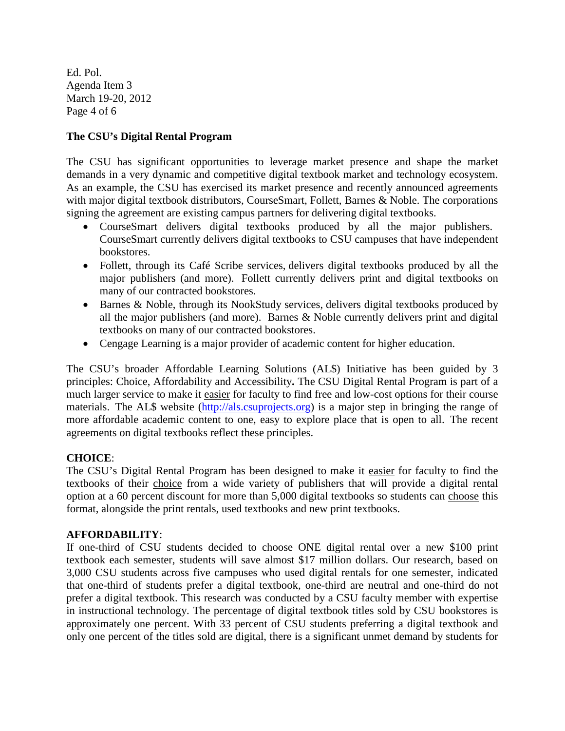Ed. Pol. Agenda Item 3 March 19-20, 2012 Page 4 of 6

# **The CSU's Digital Rental Program**

The CSU has significant opportunities to leverage market presence and shape the market demands in a very dynamic and competitive digital textbook market and technology ecosystem. As an example, the CSU has exercised its market presence and recently announced agreements with major digital textbook distributors, CourseSmart, Follett, Barnes & Noble. The corporations signing the agreement are existing campus partners for delivering digital textbooks.

- CourseSmart delivers digital textbooks produced by all the major publishers. CourseSmart currently delivers digital textbooks to CSU campuses that have independent bookstores.
- Follett, through its Café Scribe services, delivers digital textbooks produced by all the major publishers (and more). Follett currently delivers print and digital textbooks on many of our contracted bookstores.
- Barnes & Noble, through its NookStudy services, delivers digital textbooks produced by all the major publishers (and more). Barnes & Noble currently delivers print and digital textbooks on many of our contracted bookstores.
- Cengage Learning is a major provider of academic content for higher education.

The CSU's broader Affordable Learning Solutions (AL\$) Initiative has been guided by 3 principles: Choice, Affordability and Accessibility**.** The CSU Digital Rental Program is part of a much larger service to make it easier for faculty to find free and low-cost options for their course materials. The AL\$ website [\(http://als.csuprojects.org\)](http://als.csuprojects.org/) is a major step in bringing the range of more affordable academic content to one, easy to explore place that is open to all. The recent agreements on digital textbooks reflect these principles.

# **CHOICE**:

The CSU's Digital Rental Program has been designed to make it easier for faculty to find the textbooks of their choice from a wide variety of publishers that will provide a digital rental option at a 60 percent discount for more than 5,000 digital textbooks so students can choose this format, alongside the print rentals, used textbooks and new print textbooks.

## **AFFORDABILITY**:

If one-third of CSU students decided to choose ONE digital rental over a new \$100 print textbook each semester, students will save almost \$17 million dollars. Our research, based on 3,000 CSU students across five campuses who used digital rentals for one semester, indicated that one-third of students prefer a digital textbook, one-third are neutral and one-third do not prefer a digital textbook. This research was conducted by a CSU faculty member with expertise in instructional technology. The percentage of digital textbook titles sold by CSU bookstores is approximately one percent. With 33 percent of CSU students preferring a digital textbook and only one percent of the titles sold are digital, there is a significant unmet demand by students for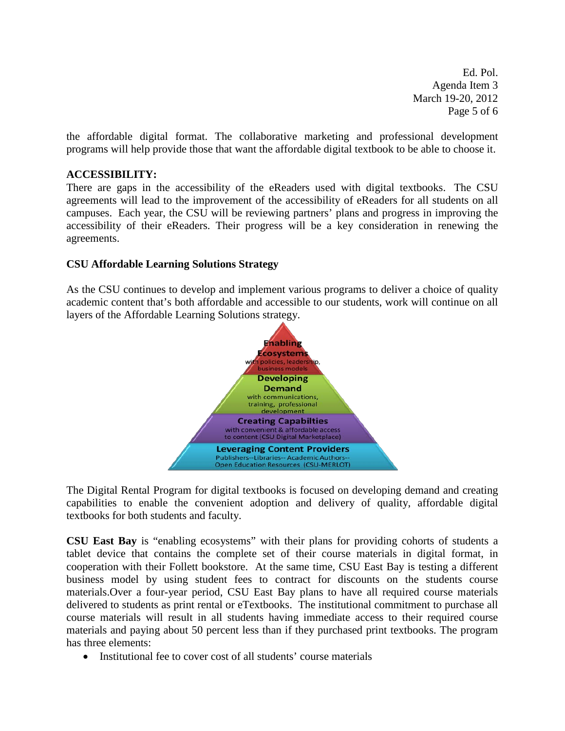Ed. Pol. Agenda Item 3 March 19-20, 2012 Page 5 of 6

the affordable digital format. The collaborative marketing and professional development programs will help provide those that want the affordable digital textbook to be able to choose it.

## **ACCESSIBILITY:**

There are gaps in the accessibility of the eReaders used with digital textbooks. The CSU agreements will lead to the improvement of the accessibility of eReaders for all students on all campuses. Each year, the CSU will be reviewing partners' plans and progress in improving the accessibility of their eReaders. Their progress will be a key consideration in renewing the agreements.

## **CSU Affordable Learning Solutions Strategy**

As the CSU continues to develop and implement various programs to deliver a choice of quality academic content that's both affordable and accessible to our students, work will continue on all layers of the Affordable Learning Solutions strategy.



The Digital Rental Program for digital textbooks is focused on developing demand and creating capabilities to enable the convenient adoption and delivery of quality, affordable digital textbooks for both students and faculty.

**CSU East Bay** is "enabling ecosystems" with their plans for providing cohorts of students a tablet device that contains the complete set of their course materials in digital format, in cooperation with their Follett bookstore. At the same time, CSU East Bay is testing a different business model by using student fees to contract for discounts on the students course materials.Over a four-year period, CSU East Bay plans to have all required course materials delivered to students as print rental or eTextbooks. The institutional commitment to purchase all course materials will result in all students having immediate access to their required course materials and paying about 50 percent less than if they purchased print textbooks. The program has three elements:

• Institutional fee to cover cost of all students' course materials